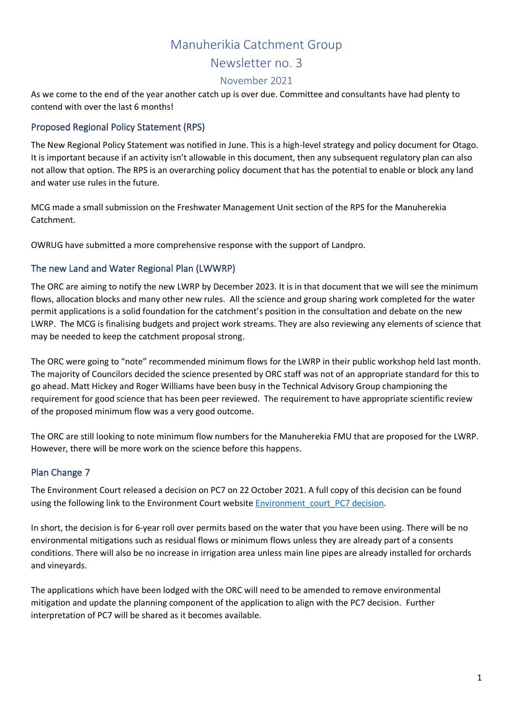## Manuherikia Catchment Group

Newsletter no. 3

#### November 2021

As we come to the end of the year another catch up is over due. Committee and consultants have had plenty to contend with over the last 6 months!

## Proposed Regional Policy Statement (RPS)

The New Regional Policy Statement was notified in June. This is a high-level strategy and policy document for Otago. It is important because if an activity isn't allowable in this document, then any subsequent regulatory plan can also not allow that option. The RPS is an overarching policy document that has the potential to enable or block any land and water use rules in the future.

MCG made a small submission on the Freshwater Management Unit section of the RPS for the Manuherekia Catchment.

OWRUG have submitted a more comprehensive response with the support of Landpro.

## The new Land and Water Regional Plan (LWWRP)

The ORC are aiming to notify the new LWRP by December 2023. It is in that document that we will see the minimum flows, allocation blocks and many other new rules. All the science and group sharing work completed for the water permit applications is a solid foundation for the catchment's position in the consultation and debate on the new LWRP. The MCG is finalising budgets and project work streams. They are also reviewing any elements of science that may be needed to keep the catchment proposal strong.

The ORC were going to "note" recommended minimum flows for the LWRP in their public workshop held last month. The majority of Councilors decided the science presented by ORC staff was not of an appropriate standard for this to go ahead. Matt Hickey and Roger Williams have been busy in the Technical Advisory Group championing the requirement for good science that has been peer reviewed. The requirement to have appropriate scientific review of the proposed minimum flow was a very good outcome.

The ORC are still looking to note minimum flow numbers for the Manuherekia FMU that are proposed for the LWRP. However, there will be more work on the science before this happens.

#### Plan Change 7

The Environment Court released a decision on PC7 on 22 October 2021. A full copy of this decision can be found using the following link to the Environment Court website Environment court PC7 decision.

In short, the decision is for 6-year roll over permits based on the water that you have been using. There will be no environmental mitigations such as residual flows or minimum flows unless they are already part of a consents conditions. There will also be no increase in irrigation area unless main line pipes are already installed for orchards and vineyards.

The applications which have been lodged with the ORC will need to be amended to remove environmental mitigation and update the planning component of the application to align with the PC7 decision. Further interpretation of PC7 will be shared as it becomes available.